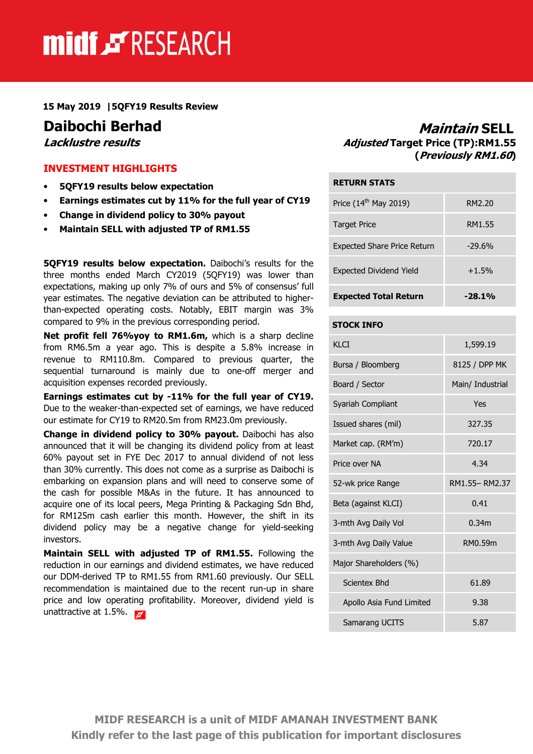# midf & RESEARCH

15 May 2019 |5QFY19 Results Review

#### INVESTMENT HIGHLIGHTS

- 5QFY19 results below expectation
- Earnings estimates cut by 11% for the full year of CY19
- Change in dividend policy to 30% payout
- Maintain SELL with adjusted TP of RM1.55

5QFY19 results below expectation. Daibochi's results for the three months ended March CY2019 (5QFY19) was lower than expectations, making up only 7% of ours and 5% of consensus' full year estimates. The negative deviation can be attributed to higherthan-expected operating costs. Notably, EBIT margin was 3% compared to 9% in the previous corresponding period.

Net profit fell 76%yoy to RM1.6m, which is a sharp decline from RM6.5m a year ago. This is despite a 5.8% increase in revenue to RM110.8m. Compared to previous quarter, the sequential turnaround is mainly due to one-off merger and acquisition expenses recorded previously.

Earnings estimates cut by -11% for the full year of CY19. Due to the weaker-than-expected set of earnings, we have reduced our estimate for CY19 to RM20.5m from RM23.0m previously.

Change in dividend policy to 30% payout. Daibochi has also announced that it will be changing its dividend policy from at least 60% payout set in FYE Dec 2017 to annual dividend of not less than 30% currently. This does not come as a surprise as Daibochi is embarking on expansion plans and will need to conserve some of the cash for possible M&As in the future. It has announced to acquire one of its local peers, Mega Printing & Packaging Sdn Bhd, for RM125m cash earlier this month. However, the shift in its dividend policy may be a negative change for yield-seeking investors.

Maintain SELL with adjusted TP of RM1.55. Following the reduction in our earnings and dividend estimates, we have reduced our DDM-derived TP to RM1.55 from RM1.60 previously. Our SELL recommendation is maintained due to the recent run-up in share price and low operating profitability. Moreover, dividend yield is unattractive at 1.5%.  $\blacksquare$ 

## **Daibochi Berhad Maintain SELL**<br>*Lacklustre results* Maintain SELL *Lacklustre results* Adjusted Target Price (TP):RM1.55 (Previously RM1.60)

#### RETURN STATS

| <b>Expected Total Return</b>       | $-28.1\%$ |
|------------------------------------|-----------|
| <b>Expected Dividend Yield</b>     | $+1.5%$   |
| <b>Expected Share Price Return</b> | $-29.6%$  |
| <b>Target Price</b>                | RM1.55    |
| Price $(14th$ May 2019)            | RM2.20    |
|                                    |           |

#### STOCK INFO

| KI CT                    | 1,599.19         |  |
|--------------------------|------------------|--|
| Bursa / Bloomberg        | 8125 / DPP MK    |  |
| Board / Sector           | Main/ Industrial |  |
| Syariah Compliant        | Yes              |  |
| Issued shares (mil)      | 327.35           |  |
| Market cap. (RM'm)       | 720.17           |  |
| Price over NA            | 4.34             |  |
| 52-wk price Range        | RM1.55-RM2.37    |  |
| Beta (against KLCI)      | 0.41             |  |
| 3-mth Avg Daily Vol      | 0.34m            |  |
| 3-mth Avg Daily Value    | RM0.59m          |  |
| Major Shareholders (%)   |                  |  |
| Scientex Bhd             | 61.89            |  |
| Apollo Asia Fund Limited | 9.38             |  |
| Samarang UCITS           | 5.87             |  |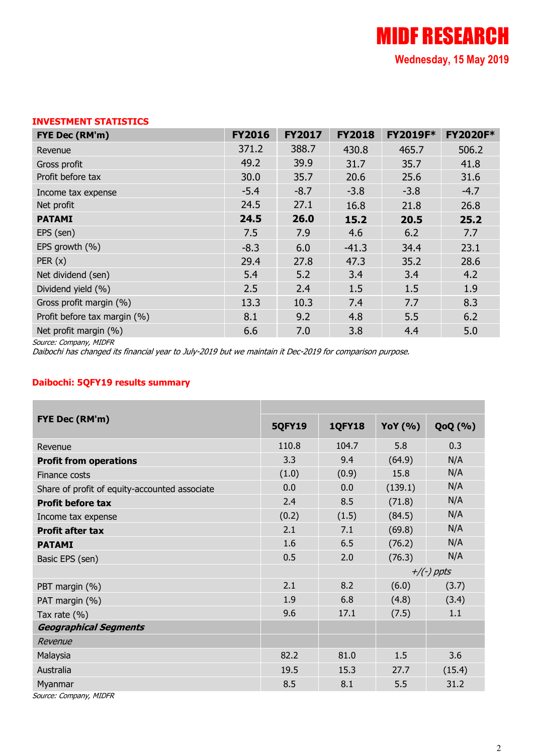### INVESTMENT STATISTICS

| FYE Dec (RM'm)               | <b>FY2016</b> | <b>FY2017</b> | <b>FY2018</b> | <b>FY2019F*</b> | <b>FY2020F*</b> |
|------------------------------|---------------|---------------|---------------|-----------------|-----------------|
| Revenue                      | 371.2         | 388.7         | 430.8         | 465.7           | 506.2           |
| Gross profit                 | 49.2          | 39.9          | 31.7          | 35.7            | 41.8            |
| Profit before tax            | 30.0          | 35.7          | 20.6          | 25.6            | 31.6            |
| Income tax expense           | $-5.4$        | $-8.7$        | $-3.8$        | $-3.8$          | $-4.7$          |
| Net profit                   | 24.5          | 27.1          | 16.8          | 21.8            | 26.8            |
| <b>PATAMI</b>                | 24.5          | 26.0          | 15.2          | 20.5            | 25.2            |
| EPS (sen)                    | 7.5           | 7.9           | 4.6           | 6.2             | 7.7             |
| EPS growth (%)               | $-8.3$        | 6.0           | $-41.3$       | 34.4            | 23.1            |
| PER(x)                       | 29.4          | 27.8          | 47.3          | 35.2            | 28.6            |
| Net dividend (sen)           | 5.4           | 5.2           | 3.4           | 3.4             | 4.2             |
| Dividend yield (%)           | 2.5           | 2.4           | 1.5           | 1.5             | 1.9             |
| Gross profit margin (%)      | 13.3          | 10.3          | 7.4           | 7.7             | 8.3             |
| Profit before tax margin (%) | 8.1           | 9.2           | 4.8           | 5.5             | 6.2             |
| Net profit margin (%)        | 6.6           | 7.0           | 3.8           | 4.4             | 5.0             |

Source: Company, MIDFR

Daibochi has changed its financial year to July-2019 but we maintain it Dec-2019 for comparison purpose.

#### Daibochi: 5QFY19 results summary

| <b>FYE Dec (RM'm)</b>                         | <b>5QFY19</b> | <b>1QFY18</b> | <b>YoY</b> (%) | <b>QoQ</b> (%) |
|-----------------------------------------------|---------------|---------------|----------------|----------------|
| Revenue                                       | 110.8         | 104.7         | 5.8            | 0.3            |
| <b>Profit from operations</b>                 | 3.3           | 9.4           | (64.9)         | N/A            |
| Finance costs                                 | (1.0)         | (0.9)         | 15.8           | N/A            |
| Share of profit of equity-accounted associate | 0.0           | 0.0           | (139.1)        | N/A            |
| <b>Profit before tax</b>                      | 2.4           | 8.5           | (71.8)         | N/A            |
| Income tax expense                            | (0.2)         | (1.5)         | (84.5)         | N/A            |
| <b>Profit after tax</b>                       | 2.1           | 7.1           | (69.8)         | N/A            |
| <b>PATAMI</b>                                 | 1.6           | 6.5           | (76.2)         | N/A            |
| Basic EPS (sen)                               | 0.5           | 2.0           | (76.3)         | N/A            |
|                                               |               |               | $+/(-)$ ppts   |                |
| PBT margin (%)                                | 2.1           | 8.2           | (6.0)          | (3.7)          |
| PAT margin (%)                                | 1.9           | 6.8           | (4.8)          | (3.4)          |
| Tax rate $(\%)$                               | 9.6           | 17.1          | (7.5)          | 1.1            |
| <b>Geographical Segments</b>                  |               |               |                |                |
| Revenue                                       |               |               |                |                |
| Malaysia                                      | 82.2          | 81.0          | 1.5            | 3.6            |
| Australia                                     | 19.5          | 15.3          | 27.7           | (15.4)         |
| Myanmar                                       | 8.5           | 8.1           | 5.5            | 31.2           |
| Source: Company, MIDFR                        |               |               |                |                |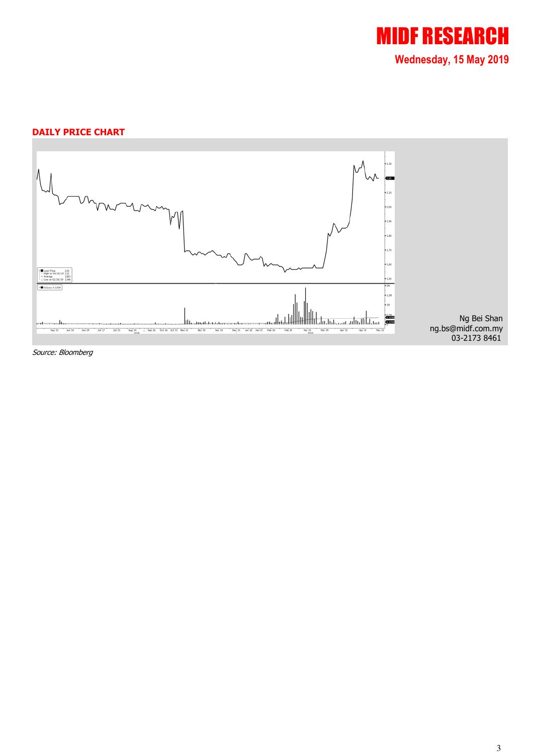

#### DAILY PRICE CHART



Source: Bloomberg